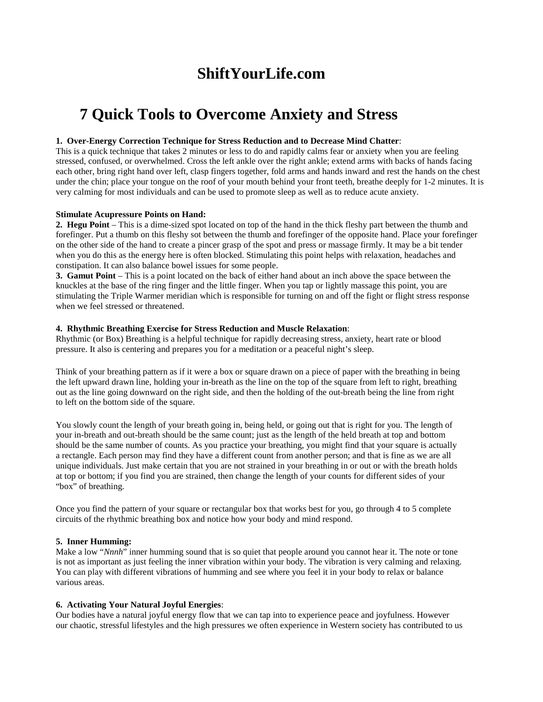## **ShiftYourLife.com**

# **7 Quick Tools to Overcome Anxiety and Stress**

#### **1. Over-Energy Correction Technique for Stress Reduction and to Decrease Mind Chatter**:

This is a quick technique that takes 2 minutes or less to do and rapidly calms fear or anxiety when you are feeling stressed, confused, or overwhelmed. Cross the left ankle over the right ankle; extend arms with backs of hands facing each other, bring right hand over left, clasp fingers together, fold arms and hands inward and rest the hands on the chest under the chin; place your tongue on the roof of your mouth behind your front teeth, breathe deeply for 1-2 minutes. It is very calming for most individuals and can be used to promote sleep as well as to reduce acute anxiety.

#### **Stimulate Acupressure Points on Hand:**

**2. Hegu Point** – This is a dime-sized spot located on top of the hand in the thick fleshy part between the thumb and forefinger. Put a thumb on this fleshy sot between the thumb and forefinger of the opposite hand. Place your forefinger on the other side of the hand to create a pincer grasp of the spot and press or massage firmly. It may be a bit tender when you do this as the energy here is often blocked. Stimulating this point helps with relaxation, headaches and constipation. It can also balance bowel issues for some people.

**3. Gamut Point** – This is a point located on the back of either hand about an inch above the space between the knuckles at the base of the ring finger and the little finger. When you tap or lightly massage this point, you are stimulating the Triple Warmer meridian which is responsible for turning on and off the fight or flight stress response when we feel stressed or threatened.

#### **4. Rhythmic Breathing Exercise for Stress Reduction and Muscle Relaxation**:

Rhythmic (or Box) Breathing is a helpful technique for rapidly decreasing stress, anxiety, heart rate or blood pressure. It also is centering and prepares you for a meditation or a peaceful night's sleep.

Think of your breathing pattern as if it were a box or square drawn on a piece of paper with the breathing in being the left upward drawn line, holding your in-breath as the line on the top of the square from left to right, breathing out as the line going downward on the right side, and then the holding of the out-breath being the line from right to left on the bottom side of the square.

You slowly count the length of your breath going in, being held, or going out that is right for you. The length of your in-breath and out-breath should be the same count; just as the length of the held breath at top and bottom should be the same number of counts. As you practice your breathing, you might find that your square is actually a rectangle. Each person may find they have a different count from another person; and that is fine as we are all unique individuals. Just make certain that you are not strained in your breathing in or out or with the breath holds at top or bottom; if you find you are strained, then change the length of your counts for different sides of your "box" of breathing.

Once you find the pattern of your square or rectangular box that works best for you, go through 4 to 5 complete circuits of the rhythmic breathing box and notice how your body and mind respond.

## **5. Inner Humming:**

Make a low "*Nnnh*" inner humming sound that is so quiet that people around you cannot hear it. The note or tone is not as important as just feeling the inner vibration within your body. The vibration is very calming and relaxing. You can play with different vibrations of humming and see where you feel it in your body to relax or balance various areas.

## **6. Activating Your Natural Joyful Energies**:

Our bodies have a natural joyful energy flow that we can tap into to experience peace and joyfulness. However our chaotic, stressful lifestyles and the high pressures we often experience in Western society has contributed to us